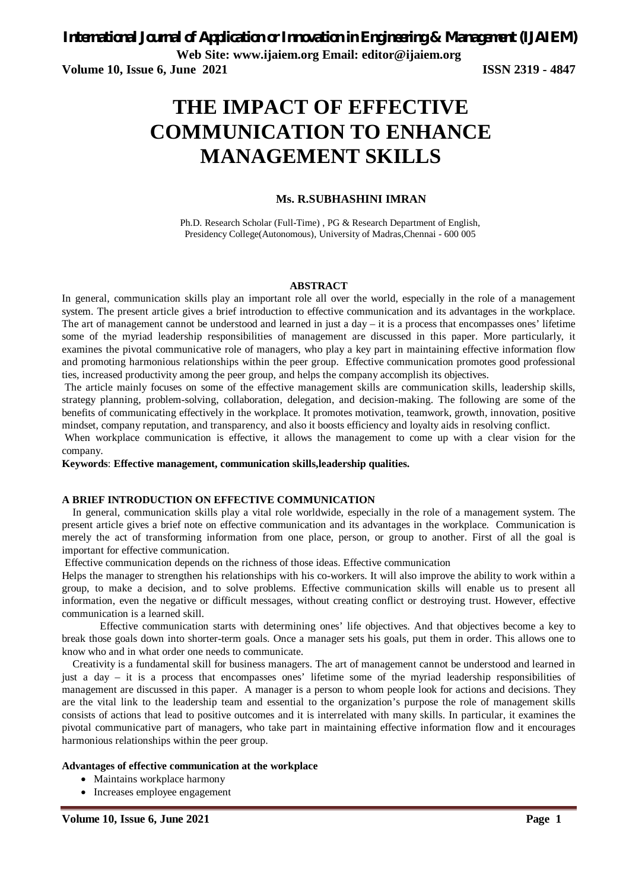**Web Site: www.ijaiem.org Email: editor@ijaiem.org**

**Volume 10, Issue 6, June 2021 ISSN 2319 - 4847** 

# **THE IMPACT OF EFFECTIVE COMMUNICATION TO ENHANCE MANAGEMENT SKILLS**

#### **Ms. R.SUBHASHINI IMRAN**

Ph.D. Research Scholar (Full-Time) , PG & Research Department of English, Presidency College(Autonomous), University of Madras,Chennai - 600 005

#### **ABSTRACT**

In general, communication skills play an important role all over the world, especially in the role of a management system. The present article gives a brief introduction to effective communication and its advantages in the workplace. The art of management cannot be understood and learned in just a day  $-$  it is a process that encompasses ones' lifetime some of the myriad leadership responsibilities of management are discussed in this paper. More particularly, it examines the pivotal communicative role of managers, who play a key part in maintaining effective information flow and promoting harmonious relationships within the peer group. Effective communication promotes good professional ties, increased productivity among the peer group, and helps the company accomplish its objectives.

The article mainly focuses on some of the effective management skills are communication skills, leadership skills, strategy planning, problem-solving, collaboration, delegation, and decision-making. The following are some of the benefits of communicating effectively in the workplace. It promotes motivation, teamwork, growth, innovation, positive mindset, company reputation, and transparency, and also it boosts efficiency and loyalty aids in resolving conflict.

When workplace communication is effective, it allows the management to come up with a clear vision for the company.

**Keywords**: **Effective management, communication skills,leadership qualities.**

#### **A BRIEF INTRODUCTION ON EFFECTIVE COMMUNICATION**

In general, communication skills play a vital role worldwide, especially in the role of a management system. The present article gives a brief note on effective communication and its advantages in the workplace. Communication is merely the act of transforming information from one place, person, or group to another. First of all the goal is important for effective communication.

Effective communication depends on the richness of those ideas. Effective communication

Helps the manager to strengthen his relationships with his co-workers. It will also improve the ability to work within a group, to make a decision, and to solve problems. Effective communication skills will enable us to present all information, even the negative or difficult messages, without creating conflict or destroying trust. However, effective communication is a learned skill.

Effective communication starts with determining ones' life objectives. And that objectives become a key to break those goals down into shorter-term goals. Once a manager sets his goals, put them in order. This allows one to know who and in what order one needs to communicate.

Creativity is a fundamental skill for business managers. The art of management cannot be understood and learned in just a day – it is a process that encompasses ones' lifetime some of the myriad leadership responsibilities of management are discussed in this paper. A manager is a person to whom people look for actions and decisions. They are the vital link to the leadership team and essential to the organization's purpose the role of management skills consists of actions that lead to positive outcomes and it is interrelated with many skills. In particular, it examines the pivotal communicative part of managers, who take part in maintaining effective information flow and it encourages harmonious relationships within the peer group.

#### **Advantages of effective communication at the workplace**

- Maintains workplace harmony
- Increases employee engagement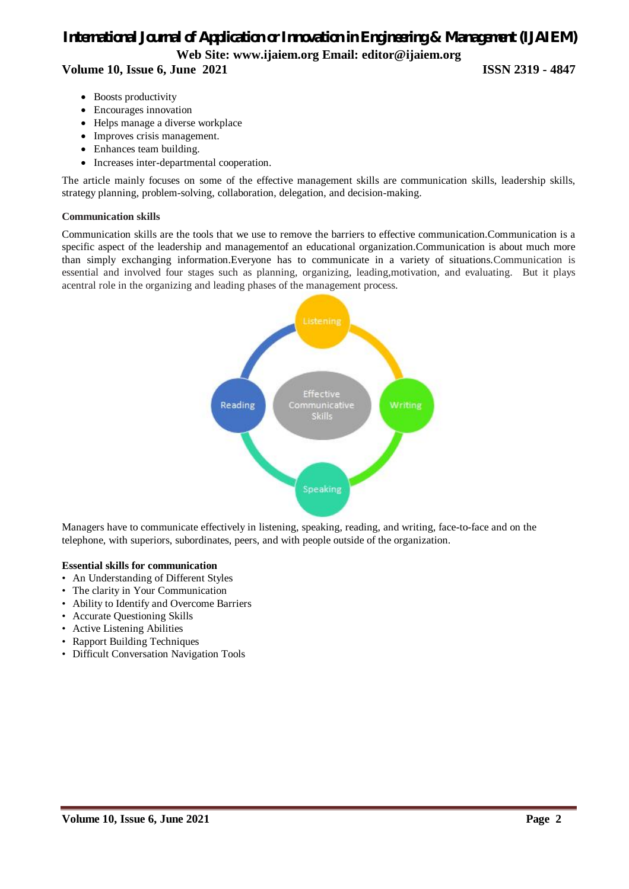## *International Journal of Application or Innovation in Engineering & Management (IJAIEM)* **Web Site: www.ijaiem.org Email: editor@ijaiem.org Volume 10, Issue 6, June 2021 ISSN 2319 - 4847**

- Boosts productivity
- Encourages innovation
- Helps manage a diverse workplace
- Improves crisis management.
- Enhances team building.
- Increases inter-departmental cooperation.

The article mainly focuses on some of the effective management skills are communication skills, leadership skills, strategy planning, problem-solving, collaboration, delegation, and decision-making.

#### **Communication skills**

Communication skills are the tools that we use to remove the barriers to effective communication.Communication is a specific aspect of the leadership and managementof an educational organization.Communication is about much more than simply exchanging information.Everyone has to communicate in a variety of situations.Communication is essential and involved four stages such as planning, organizing, leading,motivation, and evaluating. But it plays acentral role in the organizing and leading phases of the management process.



Managers have to communicate effectively in listening, speaking, reading, and writing, face-to-face and on the telephone, with superiors, subordinates, peers, and with people outside of the organization.

#### **Essential skills for communication**

- An Understanding of Different Styles
- The clarity in Your Communication
- Ability to Identify and Overcome Barriers
- Accurate Questioning Skills
- Active Listening Abilities
- Rapport Building Techniques
- Difficult Conversation Navigation Tools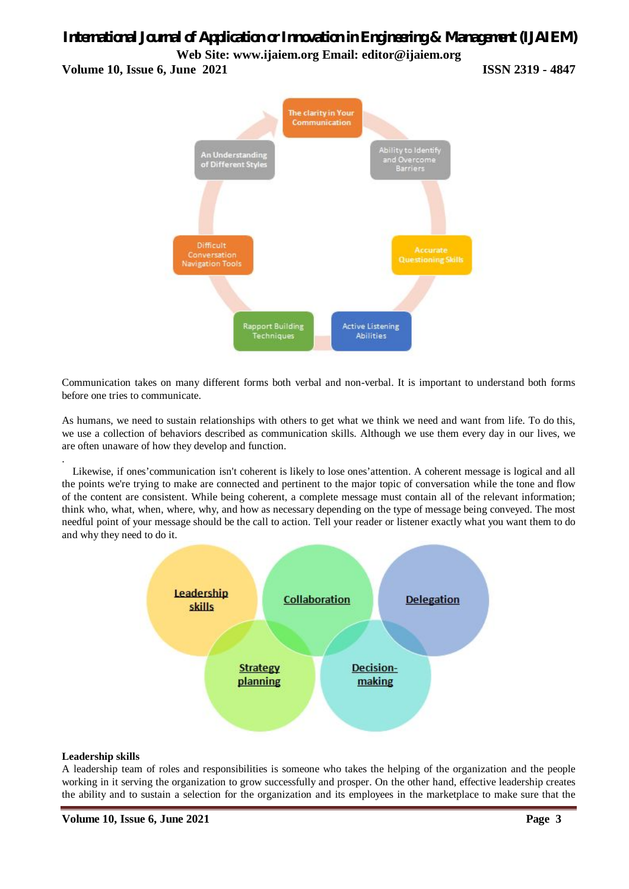### **Volume 10, Issue 6, June 2021 ISSN 2319 - 4847**



Communication takes on many different forms both verbal and non-verbal. It is important to understand both forms before one tries to communicate.

As humans, we need to sustain relationships with others to get what we think we need and want from life. To do this, we use a collection of behaviors described as communication skills. Although we use them every day in our lives, we are often unaware of how they develop and function.

. Likewise, if ones'communication isn't coherent is likely to lose ones'attention. A coherent message is logical and all the points we're trying to make are connected and pertinent to the major topic of conversation while the tone and flow of the content are consistent. While being coherent, a complete message must contain all of the relevant information; think who, what, when, where, why, and how as necessary depending on the type of message being conveyed. The most needful point of your message should be the call to action. Tell your reader or listener exactly what you want them to do and why they need to do it.



#### **Leadership skills**

A leadership team of roles and responsibilities is someone who takes the helping of the organization and the people working in it serving the organization to grow successfully and prosper. On the other hand, effective leadership creates the ability and to sustain a selection for the organization and its employees in the marketplace to make sure that the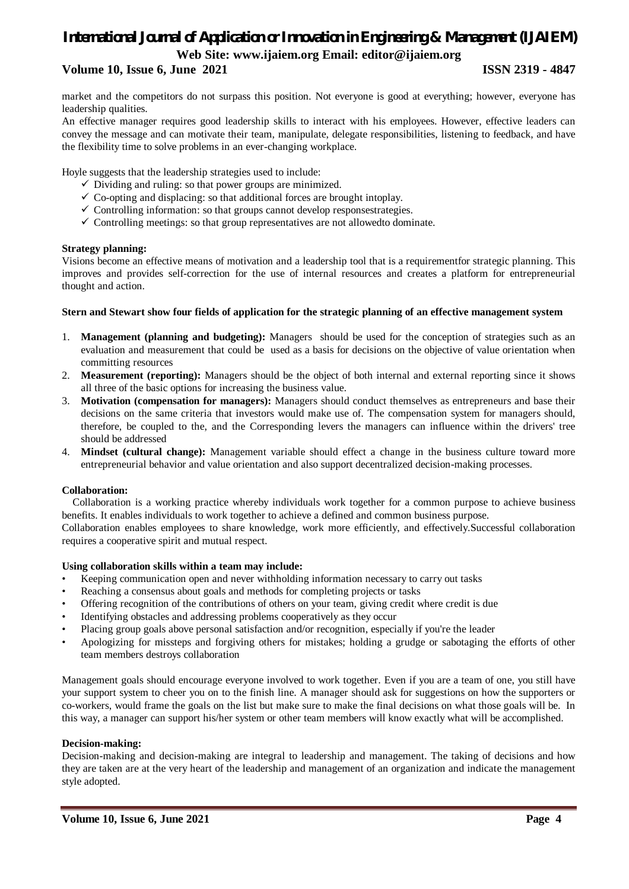### **Volume 10, Issue 6, June 2021 ISSN 2319 - 4847**

market and the competitors do not surpass this position. Not everyone is good at everything; however, everyone has leadership qualities.

An effective manager requires good leadership skills to interact with his employees. However, effective leaders can convey the message and can motivate their team, manipulate, delegate responsibilities, listening to feedback, and have the flexibility time to solve problems in an ever-changing workplace.

Hoyle suggests that the leadership strategies used to include:

- $\checkmark$  Dividing and ruling: so that power groups are minimized.
- $\checkmark$  Co-opting and displacing: so that additional forces are brought intoplay.
- $\checkmark$  Controlling information: so that groups cannot develop responsestrategies.
- $\checkmark$  Controlling meetings: so that group representatives are not allowedto dominate.

#### **Strategy planning:**

Visions become an effective means of motivation and a leadership tool that is a requirementfor strategic planning. This improves and provides self-correction for the use of internal resources and creates a platform for entrepreneurial thought and action.

#### **Stern and Stewart show four fields of application for the strategic planning of an effective management system**

- 1. **Management (planning and budgeting):** Managers should be used for the conception of strategies such as an evaluation and measurement that could be used as a basis for decisions on the objective of value orientation when committing resources
- 2. **Measurement (reporting):** Managers should be the object of both internal and external reporting since it shows all three of the basic options for increasing the business value.
- 3. **Motivation (compensation for managers):** Managers should conduct themselves as entrepreneurs and base their decisions on the same criteria that investors would make use of. The compensation system for managers should, therefore, be coupled to the, and the Corresponding levers the managers can influence within the drivers' tree should be addressed
- 4. **Mindset (cultural change):** Management variable should effect a change in the business culture toward more entrepreneurial behavior and value orientation and also support decentralized decision-making processes.

#### **Collaboration:**

Collaboration is a working practice whereby individuals work together for a common purpose to achieve business benefits. It enables individuals to work together to achieve a defined and common business purpose.

Collaboration enables employees to share knowledge, work more efficiently, and effectively.Successful collaboration requires a cooperative spirit and mutual respect.

#### **Using collaboration skills within a team may include:**

- Keeping communication open and never withholding information necessary to carry out tasks
- Reaching a consensus about goals and methods for completing projects or tasks
- Offering recognition of the contributions of others on your team, giving credit where credit is due
- Identifying obstacles and addressing problems cooperatively as they occur
- Placing group goals above personal satisfaction and/or recognition, especially if you're the leader
- Apologizing for missteps and forgiving others for mistakes; holding a grudge or sabotaging the efforts of other team members destroys collaboration

Management goals should encourage everyone involved to work together. Even if you are a team of one, you still have your support system to cheer you on to the finish line. A manager should ask for suggestions on how the supporters or co-workers, would frame the goals on the list but make sure to make the final decisions on what those goals will be. In this way, a manager can support his/her system or other team members will know exactly what will be accomplished.

#### **Decision-making:**

Decision-making and decision-making are integral to leadership and management. The taking of decisions and how they are taken are at the very heart of the leadership and management of an organization and indicate the management style adopted.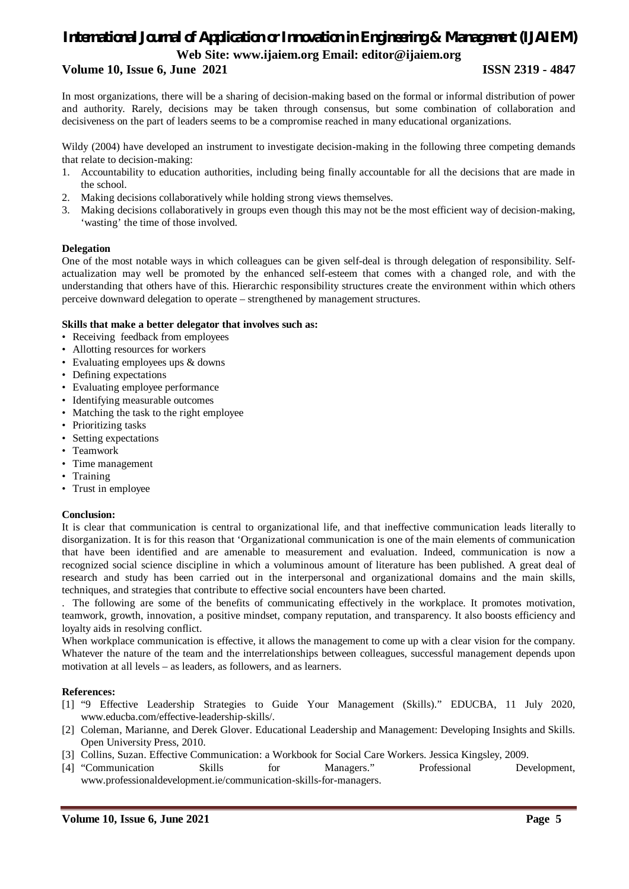### **Volume 10, Issue 6, June 2021 ISSN 2319 - 4847**

In most organizations, there will be a sharing of decision-making based on the formal or informal distribution of power and authority. Rarely, decisions may be taken through consensus, but some combination of collaboration and decisiveness on the part of leaders seems to be a compromise reached in many educational organizations.

Wildy (2004) have developed an instrument to investigate decision-making in the following three competing demands that relate to decision-making:

- 1. Accountability to education authorities, including being finally accountable for all the decisions that are made in the school.
- 2. Making decisions collaboratively while holding strong views themselves.
- 3. Making decisions collaboratively in groups even though this may not be the most efficient way of decision-making, 'wasting' the time of those involved.

#### **Delegation**

One of the most notable ways in which colleagues can be given self-deal is through delegation of responsibility. Selfactualization may well be promoted by the enhanced self-esteem that comes with a changed role, and with the understanding that others have of this. Hierarchic responsibility structures create the environment within which others perceive downward delegation to operate – strengthened by management structures.

#### **Skills that make a better delegator that involves such as:**

- Receiving feedback from employees
- Allotting resources for workers
- Evaluating employees ups & downs
- Defining expectations
- Evaluating employee performance
- Identifying measurable outcomes
- Matching the task to the right employee
- Prioritizing tasks
- Setting expectations
- Teamwork
- Time management
- Training
- Trust in employee

#### **Conclusion:**

It is clear that communication is central to organizational life, and that ineffective communication leads literally to disorganization. It is for this reason that 'Organizational communication is one of the main elements of communication that have been identified and are amenable to measurement and evaluation. Indeed, communication is now a recognized social science discipline in which a voluminous amount of literature has been published. A great deal of research and study has been carried out in the interpersonal and organizational domains and the main skills, techniques, and strategies that contribute to effective social encounters have been charted.

. The following are some of the benefits of communicating effectively in the workplace. It promotes motivation, teamwork, growth, innovation, a positive mindset, company reputation, and transparency. It also boosts efficiency and loyalty aids in resolving conflict.

When workplace communication is effective, it allows the management to come up with a clear vision for the company. Whatever the nature of the team and the interrelationships between colleagues, successful management depends upon motivation at all levels – as leaders, as followers, and as learners.

#### **References:**

- [1] "9 Effective Leadership Strategies to Guide Your Management (Skills)." EDUCBA, 11 July 2020, www.educba.com/effective-leadership-skills/.
- [2] Coleman, Marianne, and Derek Glover. Educational Leadership and Management: Developing Insights and Skills. Open University Press, 2010.
- [3] Collins, Suzan. Effective Communication: a Workbook for Social Care Workers. Jessica Kingsley, 2009.
- [4] "Communication Skills for Managers." Professional Development, www.professionaldevelopment.ie/communication-skills-for-managers.